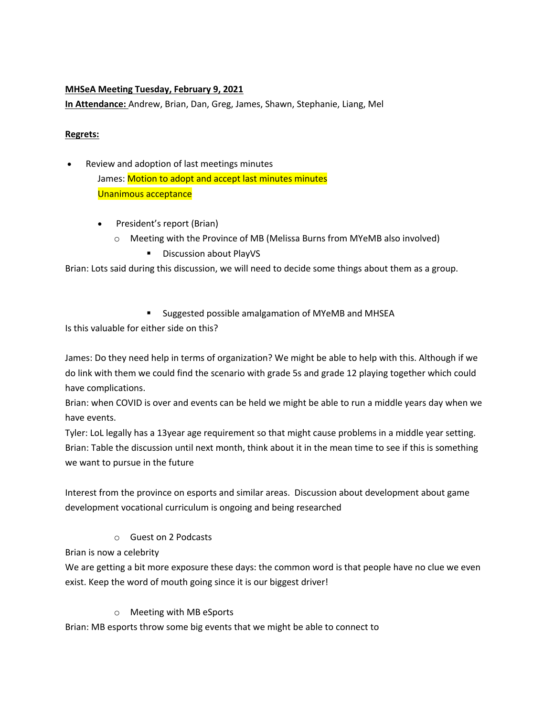#### **MHSeA Meeting Tuesday, February 9, 2021**

**In Attendance:** Andrew, Brian, Dan, Greg, James, Shawn, Stephanie, Liang, Mel

#### **Regrets:**

- Review and adoption of last meetings minutes James: Motion to adopt and accept last minutes minutes Unanimous acceptance
	- President's report (Brian)
		- o Meeting with the Province of MB (Melissa Burns from MYeMB also involved)
			- Discussion about PlayVS

Brian: Lots said during this discussion, we will need to decide some things about them as a group.

■ Suggested possible amalgamation of MYeMB and MHSEA

Is this valuable for either side on this?

James: Do they need help in terms of organization? We might be able to help with this. Although if we do link with them we could find the scenario with grade 5s and grade 12 playing together which could have complications.

Brian: when COVID is over and events can be held we might be able to run a middle years day when we have events.

Tyler: LoL legally has a 13year age requirement so that might cause problems in a middle year setting. Brian: Table the discussion until next month, think about it in the mean time to see if this is something we want to pursue in the future

Interest from the province on esports and similar areas. Discussion about development about game development vocational curriculum is ongoing and being researched

o Guest on 2 Podcasts

Brian is now a celebrity

We are getting a bit more exposure these days: the common word is that people have no clue we even exist. Keep the word of mouth going since it is our biggest driver!

o Meeting with MB eSports

Brian: MB esports throw some big events that we might be able to connect to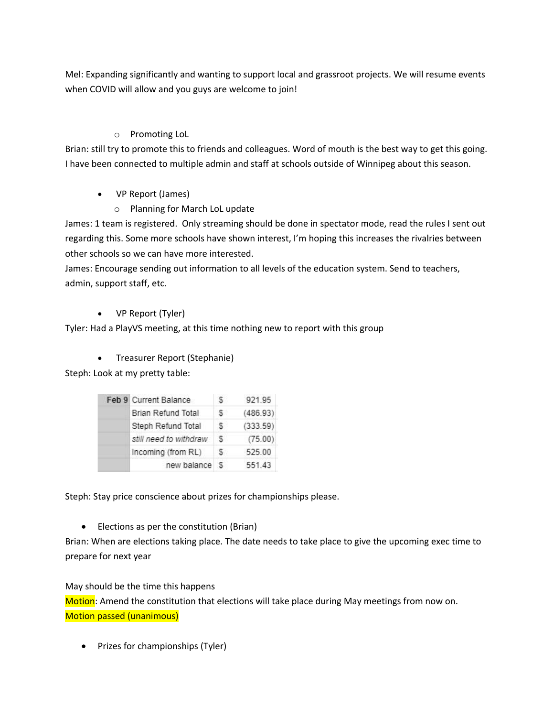Mel: Expanding significantly and wanting to support local and grassroot projects. We will resume events when COVID will allow and you guys are welcome to join!

#### o Promoting LoL

Brian: still try to promote this to friends and colleagues. Word of mouth is the best way to get this going. I have been connected to multiple admin and staff at schools outside of Winnipeg about this season.

## • VP Report (James)

o Planning for March LoL update

James: 1 team is registered. Only streaming should be done in spectator mode, read the rules I sent out regarding this. Some more schools have shown interest, I'm hoping this increases the rivalries between other schools so we can have more interested.

James: Encourage sending out information to all levels of the education system. Send to teachers, admin, support staff, etc.

## • VP Report (Tyler)

Tyler: Had a PlayVS meeting, at this time nothing new to report with this group

• Treasurer Report (Stephanie)

Steph: Look at my pretty table:

|  | Feb 9 Current Balance     | `S | 921.95   |
|--|---------------------------|----|----------|
|  | <b>Brian Refund Total</b> | s  | (486.93) |
|  | Steph Refund Total        | :S | (333.59) |
|  | still need to withdraw    | -S | (75.00)  |
|  | Incoming (from RL)        | s  | 525.00   |
|  | new balance               | 15 | 551.43   |

Steph: Stay price conscience about prizes for championships please.

• Elections as per the constitution (Brian)

Brian: When are elections taking place. The date needs to take place to give the upcoming exec time to prepare for next year

#### May should be the time this happens

Motion: Amend the constitution that elections will take place during May meetings from now on. Motion passed (unanimous)

• Prizes for championships (Tyler)